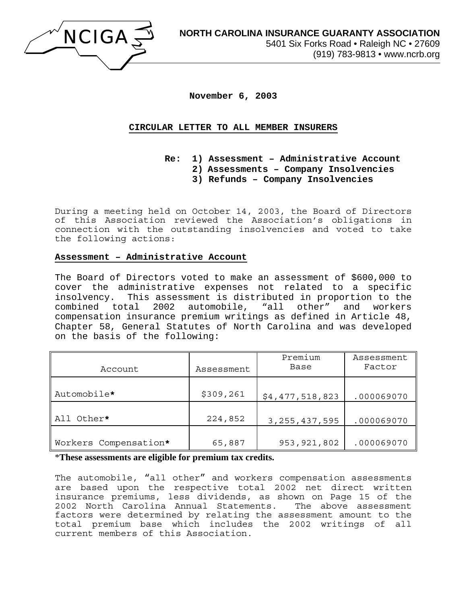

**November 6, 2003** 

## **CIRCULAR LETTER TO ALL MEMBER INSURERS**

- **Re: 1) Assessment Administrative Account** 
	- **2) Assessments Company Insolvencies**
	- **3) Refunds Company Insolvencies**

During a meeting held on October 14, 2003, the Board of Directors of this Association reviewed the Association's obligations in connection with the outstanding insolvencies and voted to take the following actions:

#### **Assessment – Administrative Account**

The Board of Directors voted to make an assessment of \$600,000 to cover the administrative expenses not related to a specific insolvency. This assessment is distributed in proportion to the combined total 2002 automobile, "all other" and workers compensation insurance premium writings as defined in Article 48, Chapter 58, General Statutes of North Carolina and was developed on the basis of the following:

| Account               | Assessment | Premium<br>Base  | Assessment<br>Factor |
|-----------------------|------------|------------------|----------------------|
| Automobile*           | \$309,261  | \$4,477,518,823  | .000069070           |
| All Other*            | 224,852    | 3, 255, 437, 595 | .000069070           |
| Workers Compensation* | 65,887     | 953, 921, 802    | .000069070           |

## \***These assessments are eligible for premium tax credits.**

The automobile, "all other" and workers compensation assessments are based upon the respective total 2002 net direct written insurance premiums, less dividends, as shown on Page 15 of the 2002 North Carolina Annual Statements. The above assessment factors were determined by relating the assessment amount to the total premium base which includes the 2002 writings of all current members of this Association.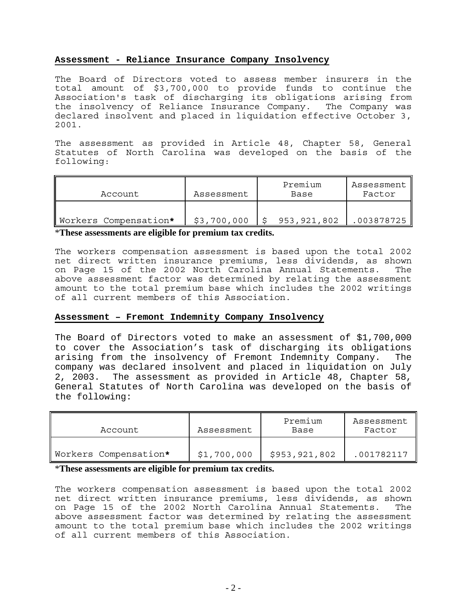## **Assessment - Reliance Insurance Company Insolvency**

The Board of Directors voted to assess member insurers in the total amount of \$3,700,000 to provide funds to continue the Association's task of discharging its obligations arising from the insolvency of Reliance Insurance Company. The Company was declared insolvent and placed in liquidation effective October 3, 2001.

The assessment as provided in Article 48, Chapter 58, General Statutes of North Carolina was developed on the basis of the following:

| Account               | Assessment  | Premium<br>Base | Assessment<br>Factor |
|-----------------------|-------------|-----------------|----------------------|
| Workers Compensation* | \$3,700,000 | 953,921,802     | 003878725            |

\***These assessments are eligible for premium tax credits.** 

The workers compensation assessment is based upon the total 2002 net direct written insurance premiums, less dividends, as shown on Page 15 of the 2002 North Carolina Annual Statements. The above assessment factor was determined by relating the assessment amount to the total premium base which includes the 2002 writings of all current members of this Association.

# **Assessment – Fremont Indemnity Company Insolvency**

The Board of Directors voted to make an assessment of \$1,700,000 to cover the Association's task of discharging its obligations arising from the insolvency of Fremont Indemnity Company. The company was declared insolvent and placed in liquidation on July 2, 2003. The assessment as provided in Article 48, Chapter 58, General Statutes of North Carolina was developed on the basis of the following:

| Account               | Assessment  | Premium<br>Base | Assessment<br>Factor |
|-----------------------|-------------|-----------------|----------------------|
| Workers Compensation* | \$1,700,000 | \$953, 921, 802 | .001782117           |

# \***These assessments are eligible for premium tax credits.**

The workers compensation assessment is based upon the total 2002 net direct written insurance premiums, less dividends, as shown on Page 15 of the 2002 North Carolina Annual Statements. The above assessment factor was determined by relating the assessment amount to the total premium base which includes the 2002 writings of all current members of this Association.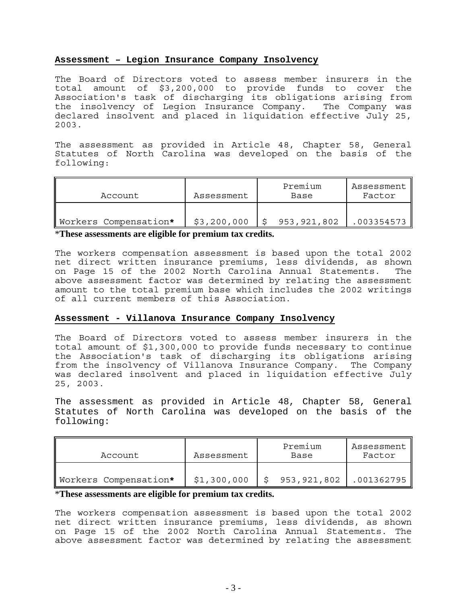### **Assessment – Legion Insurance Company Insolvency**

The Board of Directors voted to assess member insurers in the total amount of \$3,200,000 to provide funds to cover the Association's task of discharging its obligations arising from the insolvency of Legion Insurance Company. The Company was declared insolvent and placed in liquidation effective July 25, 2003.

The assessment as provided in Article 48, Chapter 58, General Statutes of North Carolina was developed on the basis of the following:

| Account               | Assessment  | Premium<br>Base | Assessment<br>Factor |
|-----------------------|-------------|-----------------|----------------------|
| Workers Compensation* | \$3,200,000 | 953,921,802     | 003354573            |

\***These assessments are eligible for premium tax credits.** 

The workers compensation assessment is based upon the total 2002 net direct written insurance premiums, less dividends, as shown on Page 15 of the 2002 North Carolina Annual Statements. The above assessment factor was determined by relating the assessment amount to the total premium base which includes the 2002 writings of all current members of this Association.

# **Assessment - Villanova Insurance Company Insolvency**

The Board of Directors voted to assess member insurers in the total amount of \$1,300,000 to provide funds necessary to continue the Association's task of discharging its obligations arising from the insolvency of Villanova Insurance Company. The Company was declared insolvent and placed in liquidation effective July 25, 2003.

The assessment as provided in Article 48, Chapter 58, General Statutes of North Carolina was developed on the basis of the following:

| Account               | Assessment  | Premium<br>Base | Assessment   <br>Factor |
|-----------------------|-------------|-----------------|-------------------------|
| Workers Compensation* | \$1,300,000 | 953, 921, 802   | .001362795              |

# \***These assessments are eligible for premium tax credits.**

The workers compensation assessment is based upon the total 2002 net direct written insurance premiums, less dividends, as shown on Page 15 of the 2002 North Carolina Annual Statements. The above assessment factor was determined by relating the assessment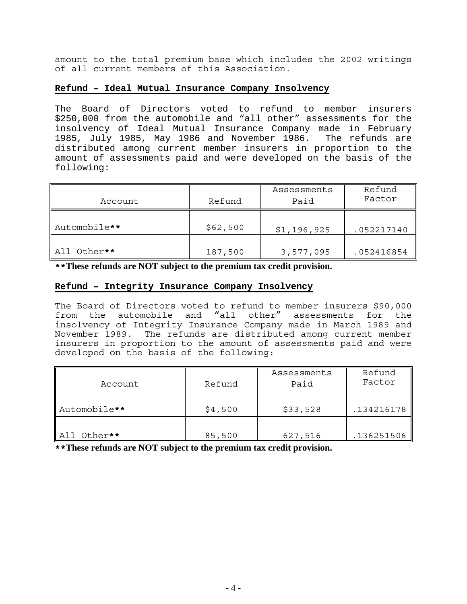amount to the total premium base which includes the 2002 writings of all current members of this Association.

## **Refund – Ideal Mutual Insurance Company Insolvency**

The Board of Directors voted to refund to member insurers \$250,000 from the automobile and "all other" assessments for the insolvency of Ideal Mutual Insurance Company made in February 1985, July 1985, May 1986 and November 1986. The refunds are distributed among current member insurers in proportion to the amount of assessments paid and were developed on the basis of the following:

| Account      | Refund   | Assessments<br>Paid | Refund<br>Factor |
|--------------|----------|---------------------|------------------|
| Automobile** | \$62,500 | \$1,196,925         | .052217140       |
| All Other**  | 187,500  | 3,577,095           | .052416854       |

**\*\*These refunds are NOT subject to the premium tax credit provision.** 

## **Refund – Integrity Insurance Company Insolvency**

The Board of Directors voted to refund to member insurers \$90,000 from the automobile and "all other" assessments for the insolvency of Integrity Insurance Company made in March 1989 and November 1989. The refunds are distributed among current member insurers in proportion to the amount of assessments paid and were developed on the basis of the following:

| Account      | Refund  | Assessments<br>Paid | Refund<br>Factor |
|--------------|---------|---------------------|------------------|
| Automobile** | \$4,500 | \$33,528            | .134216178       |
| All Other**  | 85,500  | 627,516             | .136251506       |

**\*\*These refunds are NOT subject to the premium tax credit provision.**